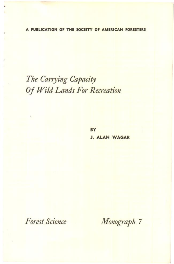A PUBLICATION OF THE SOCIETY OF AMERICAN FORESTERS

# The Carrying Capacity Of Wild Lands For Recreation

BY **J. ALAN WAGAR** 

Forest Science

Monograph 7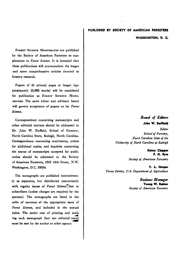#### **PUBLISHED BY SOCIETY OF AMERICAN FORESTERS**

**WASHINGTON, D. C:.** 

FOREST SCIENCE MONOGRAPHS are published **by the Society of American Foresters as supplements to Forest Science. It is intended that these publications will accommodate the longer and more comprehensive articles devoted to forestry research.** 

Papers of 32 printed pages or longer (ap**proximately 20,000 words) will be considered**  for publication as FOREST SCIENCE MONO**oxAPas. The same editor and advisory board will govern acceptance of papers as for Forest**  Science.

**Correspondence concerning manuscripts and other editorial matters should be addressed to**  Dr. John W. Duffield, School of Forestry, **North Carolina State, Raleigh, North Carolina. Correspondence concerning remittances, orders for additional copies, and inquiries concerning the status of manuscripts accepted for publication should be addressed to the Society of American Foresters, I010 16th Street, N.W. Washington, D.C. 20036.** 

**The monographs are published intermittently as separates, but distributed concurrently**  with regular issues of Forest Science<sup>T</sup>free to **subscribers (unless charges are required by the sponsor). The monographs are listed in the table of contents of the appropriate issue of**  Forest Science, and included in the annual **index. The entire cost of printing and mail. ing each monograph (but not editorial costs) must be met by the author or other agency.** 

# Board of Editors

#### John W. Duffleld

**Editor**  School of Forestry, **North Carolina State of the University of North Carolina at Raleigh** 

#### **Henry Cleaper F. H. Eyre**

Society of **American Foresters** 

**V. L. Harper** Forest Service, U.S. Department of Agriculture

> **Business Manager Yoaag W. Raiaaf**  Society of **American Foresters**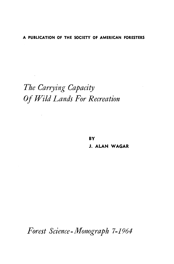# **A PUBLICATION OF THE SOCIETY OF AMERICAN FORESTERS**

# **The Carrying Capacity Of Wild Lands For Recreation**

 $\overline{\phantom{a}}$ 

**BY J. ALAN WAGAR** 

**Forest Science- Monograph 7-1964**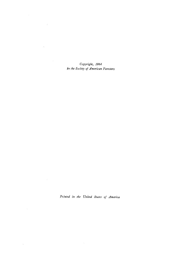**Copyright, 1964**  by the Society of American Foresters

 $\Delta \sim 10^4$ 

Printed in the United States of America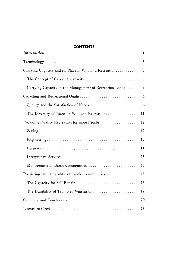# **CONTENTS**

|                                                         | 1        |
|---------------------------------------------------------|----------|
|                                                         | 3        |
| Carrying Capacity and its Place in Wildland Recreation  | 3        |
| The Concept of Carrying Capacity                        | 3        |
| Carrying Capacity in the Management of Recreation Lands | $\bf{4}$ |
| Crowding and Recreational Quality                       | 6        |
| Quality and the Satisfaction of Needs                   | 6        |
| The Diversity of Tastes in Wildland Recreation          | 11       |
| Providing Quality Recreation for more People            | 12       |
|                                                         | 12       |
|                                                         | 13       |
|                                                         | 14       |
|                                                         | 15       |
| Management of Biotic Communities                        | 15       |
| Predicting the Durability of Biotic Communities         | 15       |
|                                                         | 15       |
| The Durability of Trampled Vegetation                   | 17       |
|                                                         | 20       |
|                                                         | 23       |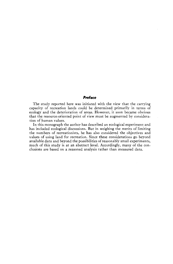# **Preface**

**The study reported here was initiated with the view that the carrying capacity of recreation lands could be determined primarily in terms of ecology and the deterioration of areas. However, it soon became obvious that the resource-oriented point of view must be augmented by consideration of human values.** 

**In this monograph the author has described an ecological experiment and has included ecological discussions. But in weighing the merits of limiting the numbers of recreationists, he has also considered the objectives and values of using land for recreation. Since these considerations go beyond available data and beyond the possibilities of reasonably small experiments, much of this study is at an abstract level. Accordingly, many of the conclusions are based on a reasoned analysis rather than measured data.**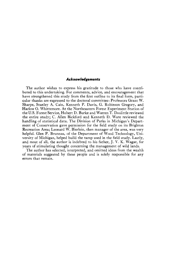#### **Acknowledgements**

**The author wishes to express his gratitude to those who have contributed to this undertaking. For comments, advice, and encouragement that have strengthened this study from the first outline to its final form, particular thanks are expressed to the doctoral committee: Professors Grant W. Sharpe, Stanley A. Cain, Kenneth P. Davis, G. Robinson Gregory, and Harlow O. Whirremote. At the Northeastern Forest Experiment Station of the U.S. Forest Service, Hubert D. Burke and Warren T. Doolittle reviewed the entire study; C. Allen Bickford and Kenneth D. Ware reviewed the handling of statistical data. The Division of Parks in Michigan's Department of Conservation gave permission for the field study on its Brighton Recreation Area; Leonard W. Bierlein, then manager of the area, was very helpful. Glen P. Bruneau, of the Department of Wood Technology, University of Michigan, helped build the tamp used in the field study. Lastly, and most of all, the author is indebted to his father, J. V. K. Wagar, for years of stimulating thought concerning the management of wild lands.** 

**The author has selected, interpreted, and omitted ideas from the wealth of materials suggested by these people and is solely responsible for any errors that remain.**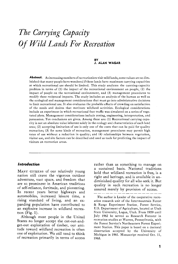# **The Carrying Capacity Of Wild Lands For Recreation**

#### **BY J. ALAN WAGAR**

Abstract. As increasing numbers of recreationists visit wild lands, some values are so dim**inished that many people have wondered if these lands have maximum carrying capacities at which recreational use should be limited. This study analyzes the carrying-capacity problem in terms of (1) the impact of the recreational environment on people, (2) the impact of people on the recreational environment, and (3) management procedures to modify these reciprocal impacts. The study includes an analysis of the human as well as the ecological and management considerations that must go into administrative decisions to limit recreational use. It also evaluates the probable effects of crowding on satisfaction of the needs and desires that motivate wildland activities. Ecological considerations include an experiment in which recreational foot traffic was simulated on a series of vegetated plots. Management considerations include zoning, engineering, interpretation, and persuasion. Ten conclusions are given. Among these are: (1) Recreational carrying capacity is not an absolute value inherent solely in the ecology and characteristics of each land area; (2) accepting limitation of use is only one of the costs that can be paid for quality recreation; (3) for some kinds of recreation, management procedures may permit high rates of use without a reduction in quality; and (4) relationships between vegetation, visitor use, and site factors can be described and used as tools for predicting the impact of visitors on recreation areas.** 

# **Introduction**

**MANY CITIZENS of our relatively young nation still crave the vigorous outdoor adventure, vast space, and freedom that are so prominent in American traditions of self-reliance, fortitude, and pioneering. In recent years better highways and automobiles, increased leisure time, a rising standard of living, and an expanding population have contributed to an explosive increase in wildland recreauon (Fig. 1).** 

**Although most people in the United States no longer accept the cut-out-andget-out exploitation of timber, our attitude toward wildland recreation is often one of exploitation. We still tend to think of recreation primarily in terms of access**  **rather than as something to manage on a sustained basis. National traditions hold that wildland recreation is free, is a right and heritage, and is available in undiminished quality for all who seek it. But quality in such recreation is no longer assured merely by provision of access.** 

**The author is Leader of the cooperative recreation research unit of the Intermountain Forest & Range Experiment Station, Forest Service, U.S. Department of Agriculture, located at Utah State University, Logan, Utah. From 1959 until July 1962 he served as Research Forester in recreation studies at Warren, Pennsylvania, with the Forest Service's Northeastern Forest Experiment Station. This paper is based on a doctoral dissertation accepted by the University of Michigan in 1961. Manuscript received Oct. 11, 1963.**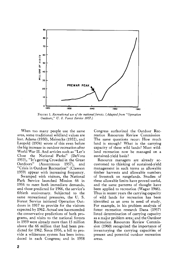

FIGURE 1. Recreational use of the national forests. (Adapted from "Operation **Outdoors," U.S. Forest Service 1957.)** 

**When too many people use the same area, some traditional wildland values are lost. Adams (1930), Meinecke (1932), and**  Leopold (1934) wrote of this even before **the big increase in outdoor recreation after World War II. And articles such as "Let's Close the National Parks" (DeVoto 1953), "It's getting Crowded in the Great Outdoors" (Anonymous 1957), and "Crisis in Outdoor Recreation" (Clawson 1959) appear with increasing frequency. Swamped with visitors, the National Park Service launched Mission 66 in 1956 to meet both immediate demands, and those predicted for 1966, the service's fiftieth anniversary. Subjected to the same recreational pressures, the U.S. Forest Service initiated Operation Outdoors in 1957 to provide for the visitors expected by 1962. Actual use has exceeded the conservative predictions of both programs, and visits to the national forests in 1959 were already more than 15 million above the 66 million that had been predicted for 1962. Since 1956, a bill to provide a wilderness system has been introduced in each Congress; and in 1958** 

**Congress authorized the Outdoor Recreation Resources Review Commission The same questions recur: How much land is enough? What is the carrying capacity of these wild lands ? Must wildland recreation now be managed on a sustained-yield basis ?** 

**Resource managers are already accustomed to thinking of sustained-yield management in such terms as allowable timber harvests and allowable numbers of livestock on rangelands. Studies of these allowable limits have proved useful, and the same patterns of thought have been applied to recreation (Wagar 1946). Thus in recent years the carrying capacity of wild lands for recreation has been identified as an area in need of study. For example, in his problem analysis of forest recreation research Dana (1957) listed determination of carrying capacity as a major problem area; and the Outdoor Recreation Resources Review Commission (1960) recognized the importance of inventorying the carrying capacities of present and potential outdoor recreation areas.**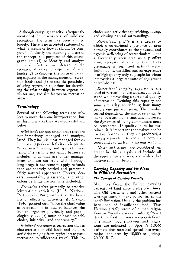**Although carrying capacity is frequently mentioned in discussions of wildland recreation, the term has been applied loosely. There is no accepted statement of what it means or how it should be computed. To clarify the meaning and use of the concept, the purposes of this monograph are: (1) to identify and analyze the main factors that determine the recreational carrying capacity of wild lands; (2) to discover the place of carry**ing capacity in the management of recreation lands; and (3) to test the possibility **of using regression equations for describing the relationships between vegetation, visitor use, and site factors on recreation areas.** 

# **Terminology**

**Several of the following terms are subject to more than one interpretation, but •n this mongraph they are used as defined below.** 

**I4/ild lands are non-urban areas that are not intensively managed and manipulated. They include most managed forests but not city parks with their exotic plants, "manicured" lawns, and sprinkler systems. The term is not exact because it includes lands that are under management and are not truly wild. Through long usage it has come to apply to lands that are sparsely settled and present a fairly natural appearance. Forests, deserts, mountains, grasslands, and other extensive lands are normally included.** 

**Recreation refers primarily to creative leisure-time activities (U.S. National Park Service 1941) rather than the benefits or effects of activities. As Slavson (1946) pointed out, "since the chief value of recreation is in that it balances the human organism physically and psychologically,... (it) must be based on selfchoice, initiative, and spontaneity."** 

*Wildland recreation* is recreation that is **characteristic of wild lands and includes activities ranging from typical state park recreation to wilderness travel. This in-** **cludes such activities as picnicking, hiking, and viewing natural surroundings.** 

**Recreational quality is the degree to which a recreational experience or area normally contributes to the physical and psychic well-being of recreationists. Thus a thoroughly worn area usually offers lower recreational quality than areas presenting a fresh and natural scene. Individual tastes differ, and an experience is of high quality only to people for whom it provides a large measure of enjoyment or well-being.** 

**Recreational carrying capacity is the level of recreational use an area can withstand while providing a sustained quality of recreation. Defining this capacity has some similarity to defining how many people one pie will serve. The number served depends on the size of servings. In many recreational situations, however, the dynamics of living communities must be considered. If quality is to be sustained, it is important that values not be used up faster than they are produced, a**  process equivalent to spending both in**terest and capital from a savings account.** 

**Needs and desires are considered together in this analysis and include all the requirements, drives, and wishes that motivate human behavior.** 

# **Carrying Capacity and Its Place in Wildland Recreation**

# **The Concept of Carrying Capacity**

**Man has faced the limited carrying capacity of land since prehistoric times. The Old Testament and other ancient writings contain many references to the land's limitation. Usually the problem has been one of insufficient food. Thus Haddon (1927) wrote of human migrations as "nearly always resulting from a dearth of food or from over-population." The many food shortages and migrations are indicated' by Spoehr's (1956) estimate that man had spread into every major land area by 10,000 or perhaps 20,000 B. C.**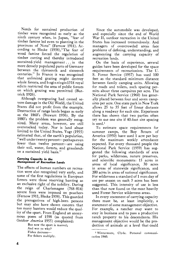**Needs for sustained production of timber were recognized as early as the ninth century when, in Japan, "fear of timber famine led even to planting in the provinces of Noto" (Fernow 1911). According to Heske (1938),"The fear of wood famine forced the regulation of timber cutting and thereby introduced sustained-yield management... in the more densely populated parts of Germany between the thirteenth and sixteenth centuries." In France it was recognized that unlimited grazing might destroy**  whole forests, and **b** egin ningin 1318 royal **edicts restricted the area of public forests on which grazing was permitted (Burtrick 1926).** 

**Although overgrazing had caused severe damage in the Old World, the United States did not profit from the example. Destruction ofrange lands began as early as the 1860's (Stewart 1936). By the 1880's the problem was generally recognized. Many areas, however, are still overstocked today. Nor is land abuse limited to the United States. Vogt (1955) estimated that, of the earth's population, "well under twentypercent--perhaps even** fewer than twelve percent-are using **their soil, water, forests, and grasslands on a sustained yield basis."** 

#### **Carrying Capacity in the Management of Recreation Lands**

**The effects of human numbers on recreation were also recognized very early, and some of the first regulations in European forests were those reserving hunting as an exclusive right of the nobility. During the reign of Charlemagne (768-814) severe fines were imposed on poachers (Fernow 1911, Heske 1938). This guarded**  the prerogatives of high-born persons **but may also have shown concern that too many hunters would reduce the quality of the sport. From England an anonymous poem of 1598 (as quoted from**  Outdoor America 1955) complained:

**But now the sport is marred; And wot ye why? Fishes decrease-- For fishers multiply.** 

**Since the automobile was developed, and especially since the end of World War II, outdoor recreation in the United States has increased tremendously. And managers of overcrowded areas face problems of defining, understanding, and augmenting the carrying capacity of recreation lands.** 

**On the basis of experience, several guides have been developed for the space requirements of recreationists. The U. S. Forest Service (1957) has used 100 feet as the standard minimum distance between family camping units. Allowing for roads and toilets, such spacing permits about three campsites per acre. The National Park Service (1960) has generally placed between four and seven campsites per acre. One state park in New York**  allows 25 to 35 feet of linear distance **along a roadway for each site. Experience there has shown that two parties often try to use one site if 40-foot site spacing**  is used.<sup>1</sup>

**To estimate space requirements for summer camps, the Boy Scouts of America (1950) have used 1 acre per boy for the maximum weekly attendance expected. For every thousand people the National Park Service (1959) has suggested the following standards of area for parks, wilderness, nature preserves, and scientific monuments: 15 acres in areas of local significance, 30 acres in areas of statewide significance, and 200 acres in areas of national significance. For wilderness astandard of 1 man-day of use per season on each 3 acres has been suggested. This intensity of use is less than that now found on the most heavily used Forest Service wilderness areas.** 

**In every statement of carrying capacity there must be, at least implicitly, a statement of some management objective. For example, a rancher may want to stay in business and to pass a productive ranch property to his descendants. His management objective would be the production of animals at a level that could** 

**a Wintermute, Clyde. Personal communication 1960.**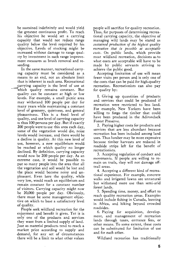**be sustained indefinitely and would yield the greatest continuous profit. To reach his objective he would set a carrying capacity that would not reduce range quality below the level required by his objective. Levels of stocking might be •ncreased without damage to range quality by investment in such range improvement measures as brush removal and reseeding.** 

**In the same manner, recreational carry- •ng capacity must be considered as a means to an end, not an absolute limit that is inherent in each area. Recreational carrying capacity is the level of use at**  which quality remains constant. But **quality can be constant at high or low levels. For example, a small picnic area may withstand 100 people per day for many years while maintaining a constant level of greenery, quietness, and general pleasantness. This is a fixed level of quality, and one level of carrying capacity •s thus 100 persons per day. But if exactly 200 people were to use this area each day, some of the vegetation would die, noise levels would increase, and there would be a decline in quality. At this new level of use, however, a new equilibrium would be reached at which quality no longer declined. By definition, carrying capacity would now be 200 people per day. As an extreme case, it would be possible to put so many people into the area that all the vegetation and soil would be lost and the place would become noisy and unpleasant. Even here the quality, while very low, would reach an equilibrium and remain constant for a constant number of visitors. Carrying capacity might now be 20,000 people per day. Obviously, there must be some management objective on which to base a satisfactory level of quality.** 

**People seek wildland recreation for the enjoyment and benefit it gives. Yet it is only one of the products and services they want from a limited supply of land. Just as material products tend to reach a market price according to supply and demand, for any set of circumstances there will be a limit to what other values** 

**people will sacrifice for quality recreation. Thus, for purposes of determining recreational carrying capacity, the objective of managing wild lands may be stated as sustained production of the highest quality recreation that is possible at acceptable costs. On public lands, which provide most wildland recreation, decisions as to what costs are acceptable will have to be made by public servants striving to achieve the public good.** 

**Accepting limitation of use will mean fewer visits per person and is only one of the costs that can be paid for high-quality recreation. Recreationists can also pay for quality by:** 

**I. Giving up quantities of products and services that could be produced if recreation were restricted to less land. For example, New Yorkers have been willing to forgo the timber that could have been produced in the Adirondack Forest Preserve.** 

**2. Paying higher costs for products and services that are less abundant because recreation has been included among land uses. Thus lumber may be more expensive because timber harvests are reduced in roadside strips left for the benefit of recreationists.** 

**3. Accepting regulation of conduct and movements. If people are willing to remain on trails, they will not damage offtrail areas.** 

**4. Accepting a different kind of recreational experience. For example, concrete walks and irrigated lawns are unnatural but withstand more use than semi-arid forest lands.** 

**5. Spending time, money, and effort to reach quality recreation areas. Examples would include fishing in Canada, hunting in Africa, and hiking beyond crowded roadsides.** 

**6. Paying for acquisition, development, and management of recreation lands through taxes, entrance fees, or other means. To some extent, these costs can be substituted for limitation of use and for each other.** 

**Wildland recreation has traditionally**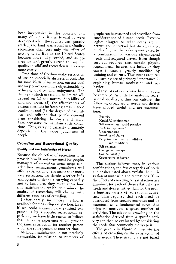**been inexpensive in this country, and many of our attitudes toward it were developed when the country was sparsely settled and land was abundant. Quality recreation then cost only the effort of getting to it. But as the United States becomes more fully settled, and as desires for land greatly exceed the supply, quality in wildland recreation will become more costly.** 

**Traditions of freedom make restriction of use an especially distasteful cost. But for some kinds of recreation, unrestricted use may prove even more objectionable by reducing quality and enjoyment. The degree to which use should be limited will depend on (1) the natural durability of wildland areas, (2) the effectiveness of various methods for keeping areas in good condition, and (3) the degree of naturalness and solitude that people demand after considering the costs and sacrifices necessary to maintain such conditions. Thus, carrying capacity ultimately depends on the value judgments of people.** 

# **Crowding and Recreational Quality**

# **Quality and the Satisfaction of Needs**

**Because the objective of recreation is to provide benefit and enjoyment for people, managers of recreation areas must consider how management procedures will affect satisfaction of the needs that motivate recreation. To decide whether it is appropriate to define acarrying capacity and to limit use, they must know how this satisfaction, which determines the quality of recreation, will change with different amounts of crowding.** 

**Unfortunately, no precise method is available for measuring satisfaction. Even if we could measure how satisfied one person is by a specific recreational experience, we have little reason to believe that the same experience would provide the same satisfaction for another person or for the same person at another time.** 

**Although satisfaction is not precisely measurable, its relation to numbers of**  **people can be reasoned and described from**  considerations of human needs. Psycho**logists disagree on what needs are inherent and universal but do agree that much of human behavior is motivated by a combination of various physiological needs and acquired drives. Even though survival requires that certain physiological needs be met, the behavior they cause is usually greatly modified by training and culture. Thus needs acquired by learning are of primary importance in explaining human motivation and behavior.** 

**Many lists of needs have been or could be compiled. As units for analyzing recreational quality, within our culture, the following categories of needs and desires have proved useful and are examined here.** 

**Exercise Healthful environment Self-esteem and social prestige Esthetic enjoyment Understanding Freedom of choice Perpetuation of early traditions and conditions Self-reliance Change and escape Companionship Cooperative endeavor** 

**The author believes that, in various combinations, the few categories of needs and desires listed above explain the motivation of most wildland recreations. Thus the effects of crowding on satisfaction are examined for each of these relatively few needs and desires rather than for the nearly limitless variety of recreational activities. This requires that each need be abstracted from specific activities and be examined as a fundamental force that helps to motivate a great number of activities. The effects of crowding on the satisfaction derived from a specific activity can then be evaluated by considering the needs that commonly motivate it.** 

**The graphs in Figure 2 illustrate the effects of crowding on the satisfaction of these needs. These graphs are not based**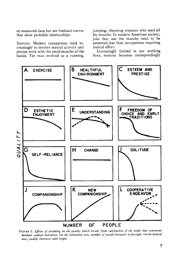**on measured data but are freehand curves that show probable relationships.** 

**Exercise. Modern occupations tend increasingly to involve mental activity and precise work with the small muscles of the hands. Yet man evolved as a running,** 

**jumping, throwing creature who used all his muscles. In modern American society, jobs that use the muscles tend to be esteemed less than occupations requiring mental effort.** 

**Increasingly limited in our working lives, exercise becomes correspondingly** 



FIGURE 2. Effects of crowding on the quality which results from satisfaction of the needs that commonly motivate outdoor recreation. On the horizontal axes, number of people increases to the right. On the vertical **axes, quality increases with height.**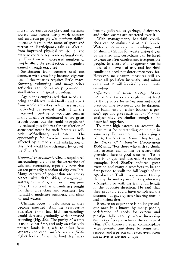**more important in our play, and the same society that scorns heavy work admires and emulates people who perform skillful muscular feats in the name of sport and recreation. Participants gain satisfaction from improved physical well-being, and exercise contributes to recreational quality. How then will increased numbers of people affect the satisfaction and quality gained through exercise ?** 

**Satisfaction from exercise need not decrease with crowding because vigorous use of the muscles requires little space. Running, swimming, and many other activities can be actively pursued in small areas amid great crowding.** 

**Again it is emphasized that needs are being considered individually and apart from whole activities, which are usually motivated by several needs. Thus the place and incentive for activities such as hiking might be eliminated where great crowds occur, but this could be explained by reduced possibilities for satisfaction of associated needs for such factors as solitude, self-reliance, and esteem. The opportunity for exercise remains little affected by numbers, and satisfaction of this need would be unchanged by crowding (Fig. 2A).** 

**Healthful environment. Clean, unpolluted surroundings are one of the attractions of wildland recreation, especially now that we are primarily a nation of city dwellers. Many centers of population are smoky places with drab skies, sewage-laden waters, evil smells, and sweltering sum**mers. In contrast, wild lands are sought **for their blue skies and sunshine, low humidity, moderate summers, and clean air and waters.** 

**Changes occur in wild lands as they become crowded. And the satisfaction available from healthful surroundings would decrease gradually with increased crowding (Fig. 2B). The purity of waters is usually lost first, and only on relatively unused lands is it safe to drink from streams and other surface waters. With higher levels of use, the land itself may**  **become polluted as garbage, dishwater, and other wastes are scattered over it.** 

**With management, healthful conditions can be maintained at high levels. Water supplies can be developed and purified. Facilities for waste disposal can be installed and custodians can be hired to clean up after careless and irresponsible people. Intensity of management can be matched to levels of use, and healthful conditions need not deteriorate very far. However, no cleanup measures will remove all pollution instantly, and minor deterioration will inevitably occur with crowding.** 

**Self-esteem and social prestige. Many recreational tastes are explained at least partly by needs for self-esteem and social prestige. The two needs can be distinct, but fulfillment of either bolsters a person's ego and gives satisfaction. For this analysis they are similar enough to be described together.** 

**To merit high esteem an accomplishment must be outstanding or unique in some way. For example, in advertising a trip to the Northern Saint Elias Range, the Sierra Club Bulletin (Anonymous 1956) said, "For those who wish to climb, first ascents can almost be guaranteed provided there is good weather." To be first is unique and desired. As another example, Earl Shaffer endured great exertion and many discomforts to be the first person to walk the full length of the Appalachian Trail in one season. During the trip he met a pair of hikers who were attempting to walk the trail's full length in the opposite direction. He said that they probably could have completed the distance but gave up after hearing that he had finished first.** 

**Because an experience is no longer unique once it is known by many people, satisfaction of needs for esteem and prestige falls rapidly when increasing numbers of people achieve the same goal (Fig. 2C). However, even commonplace achievements contribute to some selfrespect, and a person can excel even when his activities are not unique.**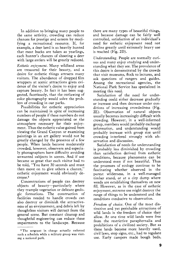**In addition to bringing many people to the same activity, crowding can reduce chances for prestige and esteem by modifying a recreational resource. If, for example, a deer herd is so heavily hunted that most bucks are taken as yearlings, each hunter's chances of shooting a deer with large antlers will be greatly reduced.** 

**Esthetic enjoyment. Many wildland areas are treasured for their beauty, and a desire for esthetic things attracts many**  visitors. The abundance of dropped film **wrappers at scenic attractions gives evidence of the visitor's desire to enjoy and capture beauty. In fact it has been suggested, facetiously, that the outlawing of color photography would solve the problem of crowding in our parks.** 

**Possibilities for esthetic appreciation can be maintained in spite of increasing numbers of people if these numbers do not damage the objects appreciated or the atmosphere necessary for their enjoyment. Thus the esthetic value gained from viewing the Grand Canyon or examining paintings in an art gallery would not be greatly changed by the presence of a few people. When lands become moderately crowded, however, observers and especialy photographers have difficulty avoiding unwanted subjects in scenes. And if use became so great that each visitor had to be told, "You have 30 seconds and must then move on to give others a chance," esthetic enjoyment would obviously decrease. 2** 

**Concentrations of people can destroy objects of beauty--particularly where they trample vegetation or delicate geologic formations. The construction of facilities needed to handle crowds can also destroy or diminish the attractiveness of an environment, and debris left by thoughtless visitors will detract from the general scene. But constant cleanup and thoughtful engineering can reduce these •mpairments to the landscape. Because** 

**there are many types of beautiful things, and because damage can be fairly well controlled, satisfaction of an individual's need for esthetic enjoyment need not decline greatly until extremely heavy use is reached (Fig. 2D).** 

**Understanding. People are normally curious and many enjoy studying and understanding what they see. The prevalence of this desire is demonstrated by the crowds that visit museums, flock to lectures, and ask questions of rangers and guides. Among the recreational agencies, the National Park Service has specialized in meeting this need.** 

**Satisfaction of the need for understanding could either decrease gradually or increase and then decrease under conditions of increasing crowdedhess (Fig. 2E). Observation of natural objects usually becomes increasingly difficult with crowding. However, in a well-informed group, members would probably exchange information, and understanding would probably increase with group size until crowding interfered strongly with observation and discussion.** 

**Satisfaction of needs for understanding is probably less diminished by crowding than satisfaction derived from esthetic conditions, because phenomena can be understood even if not beautiful. Thus the processes of ecology continue to be fascinating whether observed in the purest wilderness, in a well-managed timber stand, or at a city dump where weeds are establishing themselves on new fill. However, as in the case of esthetic enjoyment, extreme use might destroy the range of things to be understood and the conditions conducive to observation.** 

**Freedom of choice. One of the most distinctive and yet perishable attractions of wild lands is the freedom of choice they allow. At one time wild lands were free from the restrictive paraphernalia and prohibitions of a civilized society. But as these lands become more heavily used, civil laws, stop signs, etc., had to regulate use. Early campers made bough beds,** 

**<sup>2</sup> The sergeant in charge actually enforced such a schedule while a military group was visit- •ng a national park.**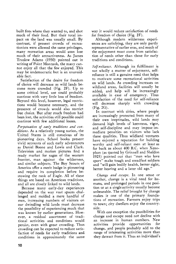**built fires where they wanted to, and shot much of their food. But their total impact on the land was usually small. By contrast, if present crowds of recreationists were allowed the same privileges, many recreation areas would soon lose much of their attractiveness. As James Truslow Adams (1930) pointed out in writing of Point Montauk, the many cannot enjoy all that the few enjoyed. This may be undemocratic but is an unavoidable fact.** 

**Satisfaction of the desire for freedom of choice will decrease as wild lands become more crowded (Fig. 2F). Up to some critical level, use could probably continue with very little loss of freedom. Beyond this level, however, legal restrictions would become necessary, and the presence of crowds would also restrict free choice. But after much freedom had been lost, the activities still possible could continue with few additional losses.** 

**Perpetuation of early traditions and conditions. As a relatively young nation, the United States is still conscious of its pioneering days. School books present vivid accounts of such early adventurers as Daniel Boone and Lewis and Clark. Television and motion pictures find a ready market for sagas of the western frontier, man against the wilderness, and similar subjects. The Boy Scouts of America offer a merit badge in pioneering and require its completion before bestowing the rank of Eagle. All of these things are based on American traditions, and all are closely linked to wild lands.** 

**Because many early-day experiences depended on the way vast spaces challenged and molded a mere handful of men, increasing numbers of visitors on our dwindling wild lands must decrease the possibility of experiencing much that was known by earlier generations. However, a residual assortment of traditional activities and conditions would persist, even with great crowding. Thus crowding can be expected to reduce satisfaction of needs for early traditions and conditions in approximately the same**  **way it would reduce satisfaction of needs for freedom of choice (Fig. 2F).** 

**Although modern wilderness experiences are satisfying, they are only partly representative of earlier eras, and much of the enjoyment must come from satisfaction of needs other than those for early traditions and conditions.** 

**Self-reliance. Although its fulfillment is not wholly a matter of enjoyment, selfreliance is still a genuine need that helps to motivate some recreational activities on wild lands. As crowding increases on wildland areas, facilities will usually be added, and help will be increasingly available in case of emergency. Thus satisfaction of the need for self-reliance will decrease sharply with crowding (Fig. 2G).** 

**In contrast with cities, where people are increasingly protected from many of their own ineptitudes, wild lands may demand high levels of keenness, vigor, and self-discipline and may impose immediate penalties on visitors who lack these qualities. Thus wildland ventures have enjoyed a reputation for building worthy and self-reliant men at least as far back as about 400 B.C. when Xenophon (as quoted by Grinnell and Sheldon 1925) pointed out that "men who love sport" make tough and steadfast soldiers and "will gain bodily health, better sight, better hearing and a later old age."** 

**Change and escape. In one sense or another, change is a vital need for humans, and prolonged periods in one position or at a single activity usually become unbearable. The relief brought by change makes it one of the primary foundations of recreation. Farmers enjoy trips to town; city dwellers enjoy the countryside.** 

**With one exception the possibilities for change and escape need not decline with an increase in human numbers. New**  activities provide opportunities **change, and people probably add to the range of interesting activities more than they detract from it. Thus an individual's**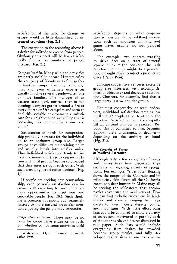**satisfaction of the need for change or escape would be little diminished by increased crowding (Fig. 2H).** 

**The exception to the reasoning above is a desire for solitude or escape from people. Obviously this need will be less satisfactorily fulfilled as numbers of people increase (Fig. 2I).** 

**Companionship. Many wildland activities are partly social in nature. Hunters enjoy the company of friends and often gather in hunting camps. Camping trips, picnics, and even wilderness experiences**  usually involve several people-often one **or more families. The manager of an eastern state park noticed that in the evenings campers gather around a fire at every fourth or fifth campsite and seem to find this sociable environment a substitute for a neighborhood sociability that is becoming less common in towns and cities?** 

**Satisfaction of needs for companionship probably increases for the individual up to an optimum group size. Larger groups have difficulty maintaining unity and usually break into smaller units. Thus individual satisfaction tends to rise to a maximum and then to remain fairly constant until groups become so crowded that they interfere with each other. With such crowding, satisfaction declines (Fig. 2J).** 

**If people are seeking new companionship, each person's satisfaction can increase with crowding because there are more opportunities to meet new and enjoyable people (Fig. 2K). Such thinking is common at resorts, but frequently visitors to more natural areas also mention enjoying the people they encounter.** 

Cooperative endeavor. There may be no **need for cooperative endeavor as such, but whether or not some activities yield**  **satisfaction depends on what cooperation is possible. Some wildland recreations such as mountain climbing and game drives usually are not pursued alone.** 

**For example, two hunters wanting to drive deer on a tract of several square miles might consider the task hopeless. Four men might do a passable job, and eight might conduct a productive drive (Perry 1954).** 

**In some cooperative ventures excessive group size interferes with accomplishment of objectives and decreases satisfaction. Climbers, for example, find that a large party is slow and dangerous.** 

**For most cooperative or team endeavors, individual satisfaction remains low until enough people gather to attempt the objective. Satisfaction then rises rapidly till an efficient number is reached. Beyond this it continues to rise, becomes approximately unchanged, or declines- depending on the activity at hand (Fig. 2L).** 

#### **The Diversity of Tastes in Wildland Recreation**

**Although only a few categories of needs and desires have been discussed, they motivate an amazing variety of recreations. For example, "river rats" floating down the gorges of the Colorado and its tributaries, skin divers off the California coast, and deer hunters in Maine may all be seeking the self-esteem that accompanies adventure and achievement. People can find esthetic enjoyment in landscapes and scenery ranging from sea coasts to lakes, forests, deserts, plains, and mountains. With little effort long lists could be compiled to show a variety of recreations motivated in part by each of the other needs and desires discussed in this paper. Such lists would include everything from desires for crowded beaches, group picnics, and fully developed trailer sites at one extreme to** 

**a Wintermute, Clyde. Personal communication 1960.**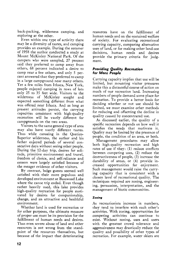**back-packing, wilderness camping, and exploring at the other.** 

**Even within one type of activity there may be a diversity of tastes, and camping provides an example. During the summer of 1958 the author conducted a study at Mount McKinley National Park. Of the campers who were sampled, 27 percent said they preferred to camp away from others, 68 percent indicated a desire to camp near a few others, and only 5 percent answered that they preferred to camp in a large campground near many others. Yet a few miles from Ithaca, New York, people enjoyed camping in rows of lots only 25 to 35 feet wide. Visitors to the wilderness of McKinley sought and expected something different from what was offered near Ithaca. And as long as present attitudes persist, the carrying capacities consistent with high-quality recreation will be vastly different for campgrounds on the two areas.** 

**Visitors to the same general type of area may also have vastly different tastes. Thus while canoeing in the Quetico-Superior wilderness, the author and his father enjoyed periods of several consecutive days without seeing other people. During the 12-day trip, desires for solitude, primitive environment and travel, freedom of choice, and self-reliance and esteem were largely satisfied because of the meager evidence of other visitors.** 

**By contrast, lodge guests seemed well satisfied with their more populous and developed environment at Basswood Lake where the canoe trip ended. Even though rather heavily used, this lake provides high-quality recreation for people motivated by desires for companionship, change, and an attractive and healthful environment.** 

**Whether land is used for recreation or for other purposes, the ultimate measure of proper use must be its provision for the fulfillment of human needs and desires. Thus even severe abuse of land and other resources is not wrong from the standpoint of the resources themselves, but because of the impact that deteriorating** 

**resources have on the fulfillment of human needs and on the sustained welfare of society. For evaluating recreational carrying capacity, comparing alternative uses of land, or for making other land-use decisions, human needs and desires provide the primary criteria for judgment.** 

# **Providing Quality Recreation for More People**

**Carrying capacity implies that use will be limited, but mounting visitor pressures make this a distasteful course of action on much of our recreation land. Increasing numbers of people demand some place for recreation. To provide a better basis for deciding whether or not use should be limited, we must examine other methods for reducing and offsetting the decline in quality caused by concentrated use.** 

**As discussed earlier, the quality of a specific recreation depends on how well it satisfies the needs that motivate it. Quality may be limited by the presence of people, the condition of an area, or both.** 

**Management procedures may allow both high-quality recreation and high rates of use if they: (1) reduce conflicts between competing uses, (2) reduce the destructiveness of people, (3) increase the**  durability of areas, or (4) provide in**creased opportunities for enjoyment. Such management would raise the carrying capacity that is consistent with a chosen level of recreational quality. The techniques required are zoning, engineering, persuasion, interpretation, and the management of biotic communities.** 

# **Zoning**

**As recreationists increase in numbers, they tend to interfere with each other's activities. With zoning, opportunities for competing activities can continue to exist. Without zoning, uses and users with the greatest crowd tolerance and aggressiveness may drastically reduce the quality and possibility of other types of recreation. For example, water skiers are**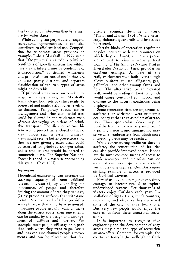**less bothered by fishermen than fishermen are by water skiers.** 

**While zoning can perpetuate a range of recreational opportunities, it can also contribute to efficient land use. Competition for wilderness areas provides an example. Robert Marshall in 1933 wrote that "the primeval area exibits primitive conditions of growth whereas the wilderness area exhibits primitive conditions of transportation." So defined, wilderness and primeval meet sets of needs that are at least partly distinct, and separate classification of the two types of areas might be desirable.** 

**If primeval areas were surrounded by large wilderness areas, in Marshall's terminology, both sets of values might be preserved and might yield higher levels of satisfaction. Temporary roads, timber management and other commercial uses could be allowed in the wilderness zone without destroying conditions of primitive transport. The distance across this zone would protect the enclosed primeval area. Under such a system, primeval areas might receive better protection than they are now given; greater areas could be reserved for primitive transportation; and a smaller area would be barred to commercial uses. The Superior National Forest is zoned in a pattern approaching this system (Pike 1953).** 

# **Engineering**

**Thoughtful engineering can increase the carrying capacity of some wildland recreation areas: (1) by channeling the movements of people and therefore limiting the amount of area they damage, (2) by providing surfaces that withstand tremendous use, and (3) by providing access to areas that are otherwise unused.** 

**Because people usually walk or drive along the easiest route, their movements can be guided by the design and arrangement of facilities and barriers. For example, most people will stay on a path that leads where they want to go. Rocks and logs can also channel people's movements and can be placed so that few** 

**visitors recognize them as unnatural (Taylor and Hansen 1934). Where necessary, elaborate guard rails and fences can be erected.** 

**Certain kinds of recreation require no physical contact with the resources on which they are based, and many people are content to view a scene without touching it. The Anhinga Nature Trail in Everglades National Park provides an excellent example. As part of the trail, an elevated walk built over a slough allows visitors to see alligators, gar, gallinules, and other swamp fauna and flora. The alternative to an elevated walk would be wading or boating, which would cause continual commotion and damage to the natural conditions being displayed.** 

**Some recreation sites are important as surfaces that withstand wear or permit occupancy rather than as points of attraction. Thus spectacular views may be possible from a barren or paved picnic area. Or, a non-scenic campground may serve as a headquarters from which more interesting areas may be reached.** 

**While concentrating traffic on durable surfaces, the construction of facilities can also provide improved access. Roads are the most common means of access to scenic resources, and motorists can see some of our most spectacular scenery without leaving their vehicles. But a more striking example of access is provided by Carlsbad Caverns.** 

**Few of us have the temperament, time, courage, or interest needed to explore undeveloped caverns. Yet thousands of visitors enjoy Carlsbad each year. Installation of lights, trails, lunch counters, restrooms, and elevators has destroyed some of the original cave formations. But very few people would enjoy the caverns without these unnatural intrusions.** 

**It is important to recognize that engineering and the development of easy access may alter the type of recreation an area offers. Compare, for example, the conducted tours in the well-lighted Carl-**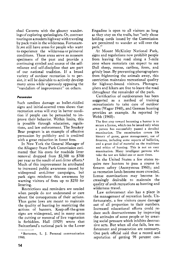**sbad Caverns with the gloomy wanderingsofexploring speleologists. Or, contrast touring on a modern highway with traveling by pack train in the wilderness. Fortunately,we still have areas for people who want to experience the wilderness or primeval conditions. These areas serve as museum specimens of the past and provide a continuing symbol and source of the selfreliance and self-discipline that are part of our national tradition. If a broad variety of outdoor recreation is to persist, it will be desirable to actively develop many areas while vigorously opposing the "vandalism of improvement" on others.** 

# **Persuasion**

**Such needless damage as bullet-riddled signs and initial-scarred trees shows that recreation areas will stay in better condition if people can be persuaded to improve their behavior. Within limits, this**  is possible through education, regula**tions, and law enforcement. The Smokey Bear program is an example of effective persuasion by publicity and is credited with a great reduction in forest fires.** 

**In New York the General Manager of the Allegany State Park Commission estimated that his costs for roadside litter removal dropped from \$2,500 to \$700 per year as the result of anti-litter efforts. 4 Much of this improvement he attributed to increased public awareness caused by widespread anti-litter campaigns, but park signs reinforce this awareness by warning visitors of fines up to \$250 for littering.** 

**Restrictions and reminders are needed when people do not understand or care about the consequences of their actions. Thus game laws are meant to maintain the quality of hunting by restricting the actions of hunters. Keep-off-the-grass signs are widespread, and in many areas the cutting or removal of live vegetation is forbidden. Hall (1929) wrote that Switzerland's national park in the Lower**  **Engadine is open to all visitors as long as they stay on the trails, but "only those holding cards issued by the Commission are permitted to wander at will over the park."** 

**At Mount McKinley National Park, signs and regulations now prohibit people from leaving the road along a 5-mile zone where motorists can expect to see Dall sheep, moose, caribou, foxes, and grizzly bear. By preventing photographers from frightening the animals away, this restriction maintains recreational quality for highway-bound visitors. Photographers and hikers are free to leave the road throughout the remainder of the park.** 

**Certification of outdoorsmen has been suggested as a method of training recreationists to take care of outdoor areas (Wagar 1940), and German hunting provides an example. As reported by Webb (1960):** 

**The first step toward becoming a hunter is to secure a license, which can be issued only when a person has successfully passed a detailed examination. The examination covers life history of game, game management, use of**  firearms, including some aspects of ballistics, **and a great deal of material on the traditions and ethics of hunting. This is not an easy examination. Many intelligent persons who take the test are failed one or more times.** 

**In the United States a few states require new hunters to pass a course in firearm safety (Anonymous 1960); and as recreation lands become more crowded, license examinations may become increasingly desirable to maintain the quality of such recreations as hunting and wilderness travel.** 

**Law enforcement also has a place in the management of recreation lands. Unfortunately, a few visitors cause damage out of all proportion to their numbers. Increased educational efforts could reduce such destructiveness by improving the attitudes of some people or by creating social pressure which inhibits destructive acts. But when all else fails, law enforcement and prosecution are necessary. One park official said that a record and reputation of getting 98 percent con-**

**<sup>4</sup> Batterson, L. J. Personal communication 1960.**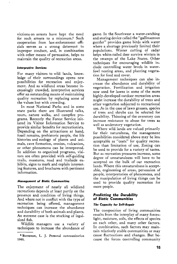**victions on arrests have kept the need for such arrests to a minimum. 5 Such cooperation from law-enforcement officials serves as a strong deterrent to improper conduct, and, in combination with other means of persuasion, helps to maintain the quality of recreation areas.** 

#### **Interpretive Services**

**For many visitors to wild lands, knowledge of their surroundings opens new possibilities for recreation and enjoyment. And as wildland areas become increasingly crowded, interpretive services offer an outstanding means of maintaining quality recreation by replacing some of the values lost with crowding.** 

**In most National Parks and in some state parks there are illustrated talks, tours, nature walks, and campfire programs. Recently the Forest Service initiated its Visitor Information Service to provide similar benefits for recreationists. Depending on the attractions at hand, fossil remains, prehistoric people, the life histories and ecology of plants and animals, cave formation, erosion, vulcanism, or other phenomena can be interpreted. In addition to organized programs, visitors are often provided with self-guiding trails, museums, road and trailside exhibits, signs to mark and explain interesting features, and brochures with pertinent information.** 

#### **Management of Biotic Communities**

**The enjoyment of nearly all wildland recreations depends at least partly on the presence and condition of living things. And where not in conflict with the type of recreation being offered, management techniques can increase the abundance and durability of both animals and plants. An extreme case is the stocking of legalsized fish.** 

**Wildlife managers use a variety of techniques to increase the abundance of**  **game. In the Southwest awater-catching and storing device called the "gallinaceous guzzler" provides game birds with water where a shortage previously limited their populations. Winter cutting of cedar helps white-tailed deer survive winters in the swamps of the Lake States. Other techniques for encouraging wildlife include controlling water levels in waterfowl nesting areas, and planting vegetation for food and cover.** 

**Management techniques can also increase the abundance and durability of vegetation. Fertilization and irrigation now used for lawns in some of the more**  highly-developed outdoor recreation areas **might increase the durability of trees and other vegetation subjected to recreational use. As in the case of lawn grasses, species of trees and shrubs can be selected for durability. Thinning of the overstory can increase resistance to abuse for trees as well as understory vegetation.** 

**Where wild lands are valued primarily for their naturalness, the management possibilities considered above may be less acceptable as "costs" for quality recreation than limitation of use. Zoning can be used to provide for a variety of tastes. But as recreation pressures increase, some degree of unnaturalness will have to be accepted on the bulk of our recreation lands. Where this unnaturalness is acceptable, engineering of areas, persuasion of people, interpretation of phenomena, and the manipulation of living things can be used to provide quality recreation for more people.** 

#### **Predicting the Durability of Biotic Communities**

#### **The Capacity for Self-Repair**

**The composition of living communities results from the interplay of many forces: light, moisture, soils, the effects of species on each other, and many other factors. In combination, such factors may maintain relatively stable communities or may cause fluctuations and changes. But because the forces controlling community** 

**<sup>•</sup> Batterson, L. J. Personal communication 1960.**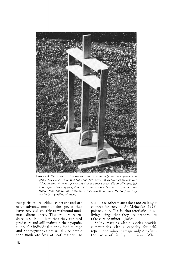

FIGURE 3. The tamp used to simulate recreational traffic on the experimental plots. Each time is it dropped from full height it applies approximately 8 foot-pounds of energy per square foot of surface area. The handle, attached to the square tamping foot, slides vertically through the two cross pieces of the frame. Both handle and uprights are adjustable to allow the tamp to drop *serticaliv* regardless of slope.

**composition are seldom constant and are often adverse, most of the species that**  have survived are able to withstand mod**erate disturbances. Thus rahhits repro**duce in such numbers that they can feed **predators and still maintain their populations. For individual plants, food storage and photosynthesis are usually so ample that moderate loss of leaf material to** 

**animals or other plants does not endanger**  chances for survial. As Meinecke (1929) **pointed out, "It is characteristic of all living beings that they are prepared to take care of minor h•juries."** 

**Safety margins within species provide communities with a capacity for self**repair, and minor damage only dips into **the excess of vitality and tissue. When**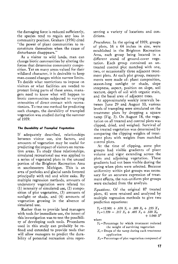**the damaging force is reduced sufficiently, the species tend to regain any loss in community position. Graham (1956) cited "the power of plant communities to reconstitute themselves when the cause of disturbance disappears."** 

**As a visitor to wild lands, man can change biotic communities by altering the forces that determine community composition. Yet on many areas valued for their wildland character, it is desirable to keep man-caused changes within narrow limits. To decide what restrictions to impose on visitors or what facilities are needed to protect living parts of these areas, managers need to know what will happen to biotic communities subjected to varying •ntensities of direct contact with recreationists. To test one method for predicting such changes, the durability of trampled vegetation was studied during the summer of 1959.** 

#### **The Durability of Trampled Vegetation**

**If adequately described, relationships between visitor use, site factors, and amounts of vegetation may be useful for predicting the impact of visitors on recreation areas. To study these relationships, simulated recreational use was applied to a series of vegetated plots in the unused portion of the Brighton Recreation Area •n southeastern Michigan. This is an area of potholes and glacial sands forested principally with red and white oaks. By multiple regression methods, amounts of understory vegetation were related to: (1) intensity of simulated use, (2) composition of plot vegetation, (3) amounts of sunlight or shade, and (4) amounts of vegetation growing in the absence of simulated use.** 

**Rather than to provide land managers with tools for immediate use, the intent of this investigation was to test the possibility of developing such tools. Procedures used in this study can probably be refined and extended to provide tools that will allow managers to predict the durability of potential recreation sites repre-** **senting a variety of locations and conditions.** 

**Procedures. In the spring of 1959, groups of plots, 16 x 64 inches in size, were established in the Brighton Recreation Area, each group being located in a different stand of ground-cover vegetation. Each group contained an untreated control plot matched with one, two, or occasionally three adjacent treatment plots. At each plot group, measurements were made of: plant composition, season-long sunlight or shade, slope steepness, aspect, position on slope, soil texture, depth of soil with organic stain, and the basal area of adjacent trees.** 

**At approximately weekly intervals between June 29 and August 10, various levels of trampling were simulated on the treatment plots by dropping a square tamp (Fig. 3). On August 18, the vegetation on all treated and control plots was clipped, dried, and weighed. Survival of the treated vegetation was determined by comparing the clipping weights of treatment plots with weights from matched control plots.** 

**At the time of clipping, some plot groups had visible gradients of plant volume and vigor extending across the plots and adjoining vegetation. These gradients had not been visible during the spring when plots were selected. Because uniformity within plot groups was necessary for an accurate expression of treatment effects, the non-uniform plot groups were excluded from the analysis.** 

**Equations. Of the original 87 treated plots, 41 were retained and analyzed by multiple regression methods to give two prediction equations:** 

 $Y_1 = 12.901 + .670 X_1 + .389 X_2 + .255 X_3$  $Y_2=1.559 - .217 X_4 + .495 X_5 + .320 X_6$  $+$  1.060  $X^7$ 

**where** 

- $Y_1$ =Percentage by which treatment reduced **the weight of surviving vegetation**
- $X_1$ = Drops of the tamp during each treatment **application**
- **X: = Percentage of plot vegetation composed of**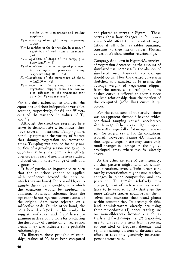**species other than grasses and trailing raspberry** 

- $X_3$ = Percentage of sunlight during the growing **season**
- **Ye =Logarithm of the dry weight, in grams, of vegetation clipped from a treatment plot**
- **X•=Logarithm of drops of the tamp, plus**   $five = log(X_1 + 5)$
- $X_5 =$ **Logarithm of the percentage of plot vegetation composed of grasses and trailing**   $r$ aspberry =  $log(100 - X_2)$
- $X_6$ = Logarithm of the percentage of shade  $=$ log(100 -  $X_3$ )
- **X7=Logarithm of the dry weight, in grams, of vegetation clipped from the control plot adjacent to the treatment plot on which Y2 was measured.**

**For the data subjected to analysis, the equations and their independent variables account, respectively, for 64 and 95 per**cent of the variance in values of Y<sub>1</sub> and  $Y_2$ .

**Although the equations presented here serve to demonstrate a technique, they have several limitations. Tamping does not fully represent the variety of factors that damage vegetation on recreation areas. Tamping was applied for only one portion of a growing season and gave no opportunity to study cumulative effects over several years of use. The area studied included only a narrow range of soils and vegetation.** 

**It is of particular importance to note that the equations cannot be applied with confidence beyond the data on which they are based. Plots would have to sample the range of conditions to which the equations would be applied. In addition, statistical inference from the equations is not rigorous because some of the original data were rejected on a subjective basis. On the other hand, the equations developed in this study do suggest variables and hypotheses to examine in developing tools for predicting the durability of vegetation on recreation areas. They also indicate some probable relationships.** 

**To illustrate these probable relationships, values of Y2 have been computed** 

**and plotted as curves in Figure 4. These curves show how changes in four variables could affect the survival of vegetation if all other variables remained constant at their mean values. Plotted values of Y• show similar relationships.** 

**Tamping.** As shown in Figure 4A, survival **of vegetation decreases as the amount of simulated use increases. In the absence of simulated use, however, no damage should occur. Thus the dashed curve was sketched as originated at 45 grams, the average weight of vegetation clipped from the untreated control plots. This dashed curve is believed to show a more realistic relationship than the portion of the computed (solid line) curve it replaces.** 

**For the conditions of this study, there was no apparent threshold beyond which additional tamping caused accelerated site damage. Other areas might respond differently, especially if damaged repeatedly for several years. For the conditions studied, however, Figure 4A indicates that large changes in use may cause only small changes in damage on the highlydeveloped areas where use is already heavy.** 

**.At the other extreme of use intensity, another pattern might hold. In wilderness situations, even a little direct contact by recreationists might cause marked changes in plant composition and ap**pearance. To remain relatively **changed, most of each wilderness would have to be used so lightly that even the more delicate species could repair themselves and maintain their usual places within communities. To accomplish this, land administrators already are using three procedures: (1) concentrating use on non-wilderness intrusions such as trails and fixed campsites, (2) dispersing use to prevent one area from receiving concentrated or frequent damage, and (3) maintaining barriers of distance and effort so that only genuinely interested persons venture in.**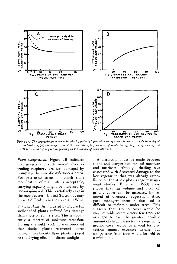

FIGURE 4. The approximate manner in which survival of ground-cover vegetation is related to: (A) intensity of **simulated use, (B) the composition of this vegetation, (C) amounts of shade during the growing season, and (D) the amount of vegetation growing in the absence of simulated use.** 

**Plant composition. Figure 4B indicates that grasses and such woody vines as trailing raspberry are less damaged by trampling than are dicotyledonous herbs. For recreation areas on which some modification of plant life is acceptable, carrying capacity might be increased by encouraging sod. This is relatively easy in the moist eastern United States but may present difficulties in the more arid West.** 

**Sun and shade. As indicated by Figure 4C, well-shaded plants suffered less damage than those on sunny sites. This is apparently a matter of moisture retention. During the field work it was observed that shaded plants recovered better between treatments than plants exposed to the drying effects of direct sunlight.** 

**A distinction must be made between shade and competition for soil moisture and nutrients. Although shading was associated with decreased damage to the low vegetation that was already established on the study plots, range management studies (Ehrenreich 1959) have shown that the volume and vigor of ground cover can be increased by removal of overstory vegetation. Also, park managers mention that sod is difficult to maintain under trees. This suggests that ground cover would be most durable where a very few trees are arranged to cast the greatest possible amount of shade. In such an arrangement, ground cover would be shaded for protection against excessive drying, but competition from trees would be held to a minimum.**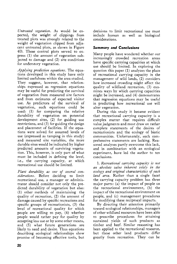**Untreated vegetation. As would be expected, the weight of clippings from treated plots was strongly related to the weight of vegetation clipped from adjacent untreated plots, as shown in Figure 4D. These control plots served to express (1) the amount of vegetation subjected to damage and (2) site conditions for understory vegetation.** 

**/lpplying prediction equations. The equations developed in this study have only limited usefulness within the area studied. They suggest, however, that relationships expressed as regression equations may be useful for predicting the survival of vegetation from measured site factors and from estimates of expected visitor use. As predictors of the survival of vegetation, such equations could be used: (1) for comparing the relative durability of vegetation on potential development sites, (2) for guiding use restrictions, and (3) for guiding the design and placement of facilities. If the equations were solved for assumed levels of use (expressed as tamping in this study) and measured site variables, the more durable sites would be indicated by higher predicted amounts of surviving vegetation. This, however, is only part of what must be included in defining the level, i.e., the carrying capacity, at which recreational use should be limited.** 

**Plant durability as one of several considerations. Before deciding to limit recreational use, a manager or administrator should consider not only the predicted durability of vegetation but also: (1) other methods of maintaining the quality of recreation, (2) the amount of damage caused by specific recreations and specific groups of recreationists, (3) the level of recreational quality for which people are willing to pay, (4) whether people would rather pay for quality by accepting less use or by some other means, and (5) what future generations are likely to need and desire. Thus equations describing ecological relationships show promise of becoming effective tools, but**  **decisions to limit recreational use must include human as well as biological considerations.** 

# **Summary and Conclusions**

**Many people have wondered whether our increasingly crowded recreation areas have specific carrying capacities at which use should be limited. In exploring the question this paper (1) analyzes the place of recreational carrying capacity in the management of wild lands, (2) considers how increased crowding might affect the quality of wildland recreation, (3) examines ways by which carrying capacities might be increased, and (4) demonstrates that regression equations may be useful in predicting how recreational use will alter vegetation.** 

**During this study it became evident that recreational carrying capacity is a complex matter that requires difficult value judgments and must draw on rather complete statements of the desires of recreationists and the ecology of biotic communities. Unfortunately, such comprehensive statements are lacking. Reasoned analyses partly overcome this lack, and in combination with an ecological experiment, have led the author to ten conclusions.** 

**1. Recreational carrying capacity is not an absolute value inherent solely in the**   $ecology$  and original characteristics of each **land area. Rather than a single facet the carrying capacity problem has three major parts: (a) the impact of people on the recreational environment, (b) the impact of the recreational environment on people, and (c) management procedures for modifying these reciprocal impacts.** 

**By directing their attention primarily toward ecological relationships, managers of other wildland resources have been able to prescribe procedures for attaining sustained yields of such products as timber and beef. Similar reasoning has been applied to the recreational resource, but these other land products differ greatly from recreation. They can be**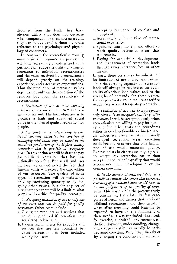**detached from the land; they have obvious utility that does not decrease when competition for them increases; and they can be evaluated without elaborate reference to the psychology and physiology of consumers.** 

**In contrast, the recreationist usually must visit the resource to partake of wildland recreation; crowding and competition can reduce the utility or value of recreation to individual recreationists; and the value received by a recreationist will depend greatly on his training, experience, and alternative opportunities. Thus the production of recreation values depends not only on the condition of the resource but upon the psychology of recreationists.** 

**2. Limitation of use at some carrying capacity is not an end in itself but is a means to an end. The final objective is to produce a high and sustained social value in the form of quality recreation for people.** 

**3. For purposes of determining recreational carrying capacity, the objective of managing wild lands may be stated as the sustained production of the highest quality recreation that is possible at acceptable coots. In this nation we still hesitate to pay for wildland recreation that has traditionally been free. But as all land uses increase, we cannot avoid the fact that human wants will exceed the capabilities of our resources. The quality of some types of recreation will be maintained only by sacrificing quantity or by forgoing other values. But for any set of circumstances there will be a limit to what people will sacrifice for quality recreation.** 

**4.** Accepting limitation of use is only one **of the costs that can be paid for quality recreation. Other costs include.** 

- **a. Giving up products and services that could be produced if recreation were restricted to less land.**
- **b. Paying higher prices for products and services that are less abundant be. cause recreation has been included**  among land uses.
- **c. Accepting regulation of conduct and movement.**
- **d. Accepting a different kind of recreational experience.**
- **e. Spending time, money, and effort to reach quality recreation areas that still remain.**
- **f. Paying for acquisition, development, and management of recreation lands through taxes, entrance fees, or other**  means.

**In part, these costs may be substituted for limitation of use and for each other. Thus the carrying capacity of recreation lands will always be relative to the availability of various land values and to the strengths of demands for these values. Carrying capacity would require a sacrifice in quantity as a cost for quality recreation.** 

**5. Limitation of use will be appropriate only when it is an acceptable cost for quality recreation. Itwill be acceptable only when recreationists are willing to pay for quality and find other costs and procedures either more objectionable or inadequate. In wilderness areas or at intensively developed recreation areas, crowding could become so severe that only limitation of use would maintain quality. Recreationists in either case might prefer to accept less recreation rather than accept the reduction in quality that would accompany more development or increased crowding.** 

**6.** In the absence of measured data, it is **possible to estimate the effects that increased crowding of a wildland area would have on human judgments of the quality of recreation. This was done in the present study by considering the relatively few categories of needs and desires that motivate wildland recreations, and then deciding what effect crowding could logically be expected to have on the fulfillment of these needs. It was concluded that needs for exercise, a healthful environment, esthetic enjoyment, understanding, change, and companionship can usually be satisfied amid crowding. But, either directly or by changing the condition of recreation**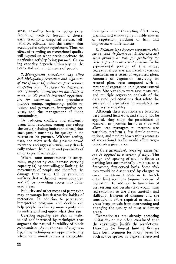**areas, crowding tends to reduce satisfaction of needs for freedom of choice, early traditions, unspoiled nature, selfreliance, solitude, and the esteem that accompanies unique experiences. Thus the effect of crowding on recreational quality will depend on what needs motivate the particular activity being pursued. Carry**  ing capacity depends ultimately on the **needs and value judgments of people.** 

**7. Management procedures may allow both high-quality recreation and high rates of use if they: (a) reduce conflicts between competing uses, (b) reduce the destructiveness of people, (c) increase the durability of areas, or (d) provide increased opportunities for enjoyment. These procedures include zoning, engineering, public relations and persuasion, interpretive services, and the management of biotic communities.** 

**By reducing conflicts and efficiently using land resources, zoning can reduce the costs (including limitation of use) that each person must pay for quality in the recreation he pursues. Without zoning, uses, and users with the greatest crowd tolerance and aggressiveness, may drastically reduce the quality and possibility of other types of recreation.** 

**Where some unnaturalness is acceptable, engineering can increase carrying capacity (a) by controlling or limiting the movements of people and therefore the damage they cause, (b) by providing surfaces that withstand tremendous use, and (c) by providing access into littleused areas.** 

**Publicity and other means of persuasion may encourage less destructive habits of recreation. In addition to persuasion, interpretive programs and devices can help people to observe more keenly and to understand and enjoy what they see.** 

**Carrying capacity can also be maintained and increased by techniques that augment the natural durability of biotic communities. As in the case of engineering, these techniques are appropriate only where some unnaturalness is acceptable.** 

**Examples include the adding of fertilizers, planting and encouraging durable species of vegetation, stocking of fish, and improving wildlife habitat.** 

**8. Relationships between vegetation, visitor use, and site factors can be described and show promise as tools for predicting the impact of visitors on recreation areas. In the experimental portion of this study, recreational use was simulated at various intensities on a series of vegetated plots. Amounts of vegetation surviving on treated plots were compared with amounts of vegetation on adjacent control plots. Site variables were also measured, and multiple regression analysis of the data produced equations that relate the survival of vegetation to simulated use and to site variables.** 

**Although these equations are based on very limited field work and should not be applied, they show the possibilities of research to provide formulas that will allow area managers to measure site variables, perform a few simple computations, and predict how various amounts of recreational traffic would affect vegetation on a given area.** 

**9. Once determined, carrying capacities can be applied in a variety of ways. The design and spacing of such facilities as parking lots automatically limit use on a first-come, first-served basis. Some visitors would be discouraged by charges to cover management costs or to match other land revenues forgone because of recreation. In addition to limitation of use, testing and certification would train recreationists to use areas carefully and skillfully. Barriers of distance and the considerable effort required to reach the areas keep crowds from overrunning and changing the quality of most wilderness areas.** 

**Recreationists are already accepting limitations on use when convinced that the advantages justify the restrictions. Drawings for limited hunting licenses have been common for many years for such scarce species as bighorn sheep and**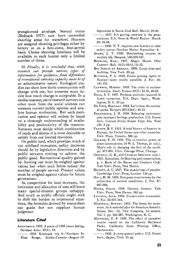**pronghorned antelope. Several states (Bednark 1957) now have controlled shooting areas for waterfowl. Hunters are assigned shooting privileges either by lottery or on a first-come, first-served basis. Choice shooting locations will be available to each hunter only a limited number of times.** 

**10. Finally, it is concluded that, while research can provide various types of information for guidance, final definitions of recreational carrying capacity must be of an administrative nature. Ecological studies can show how biotic communities will change with use, but someone must decide how much change is acceptable. In a similar manner, use of research surveys and other tools from the social sciences can measure current public opinion and analyze human motivation. But such motivation and opinion will seldom be based on a thorough understanding of availability and productivity of the resource. Someone must decide which combination of needs and desires it is most desirable to satisfy from our limited resources.** 

**On public land, which provides much of our wildland recreation, policy decisions should be by legislative directives and by public servants striving to achieve the public good. Recreational quality gained by limiting use must be weighed against values lost when such limits reduce the number of people served. Present values must be weighed against values for future generations.** 

**As competition for land increases, the hmitation and allocation of uses will leave many special-interest groups unhappy. And much as public officials might wish to shift the burden to impersonal equations, the formulas devised by researchers can guide but not supplant human judgment.** 

# **Literature Cited**

- ANONYMOUS. 1955. A poem of 1598 about fishing. **Outdoor Amer. 20(1): 18.**
- -. 1956. Knapsack trip 6-Northern St. **Elias Range, Alaska-Canada--August 19-**

**September 6. Sierra Club Bull. March: 29-30.** 

- **ß 1957. It's getting crowded in the great outdoors. U.S. News & World Report. March 29: 56-58.**
- **ß 1960. N.Y. requires new hunters to take safety course. Outdoor Maine. September: 4.**
- **ADAus, J. T. 1930. Diminishing returns in modern life. Harpers. 160:529-537.**
- BEDNARK, KARL. 1957. Magee Marsh. Ohio **Conserr. Bull. 16(2):10-11, 31-32.**
- Boy Scouts or AMERICA. 1950. Camp sites and **facilities. New York. 90 pp.**
- BUTTRICK, P. L. 1926. Forest grazing rights in **Europe--some deadly parallels. J. For. 24: 141-152.**
- CLAWSON, MARION. 1959. The crisis in outdoor **recreation. Amer. Forests 65(3): 22-31, 40-41.**
- DANA, S. T. 1957. Problem analysis: research in **forest recreation. U.S. Dept. Agric., Washington, D.C. 36 pp.**
- DE VOTO, BERNARD. 1953. Let's close the nation**al parks. Harpers 207(1241): 49-52.**
- EHRENREICH, J. H. 1959. Releasing understory **pine increased herbage production. U.S. Forest Serv. Central States Forest Expt. Sta. Note 139. 2 pp.**
- FERNOW, B. E. 1911. A brief history of forestry in **Europe, the United States and other countries. Univ. Press, Toronto. 506 pp.**
- GRAHAM, E. H. 1956. The re-creative power of **plant communities, lrn W. L. Thomas, Jr. (ed.), Man's role in changing the face of the earth. pp. 677-691. Univ. Chicago Press, Chicago.**
- GRINNELL, G. B., and CHARLES SHELDON. (eds.). **1925. Xenophon. In Hunting and conservation, p. v. Book of the Boone and Crockett Club. Yale Univ. Press, New Haven.**
- HADDON, A. C. 1927. The wanderings of peoples. **Cambridge Univ. Press, London. 124 pp.**
- HALL, H. M. 1929. European reservations for the **protection of natural conditions. J. For. 27: 667-684.**
- HESKE, FRANZ. 1938. German forestry. Yale **Univ. Press, New Haven. 342 pp.**
- LEOPOLD, ALDO. 1934. Conservation economics. **J. For. 32:537-544.**
- MARSHALL, ROBERT. 1933. The forest for recre**ation. In A national plan for American forestry. Senate Doc. 12, 73rd Congress, 1st session. Vol. I. pp. 463-487. Washington, D.C.**
- MEINECKE, E. P. 1929. The effect of excessive **tourist travel on the California Redwood Parks. California State Printing Office, Sacramento.**
- **ß 1932. A camp ground policy. U.S. Forest Serv., Ogden, Utah. 16 pp.**